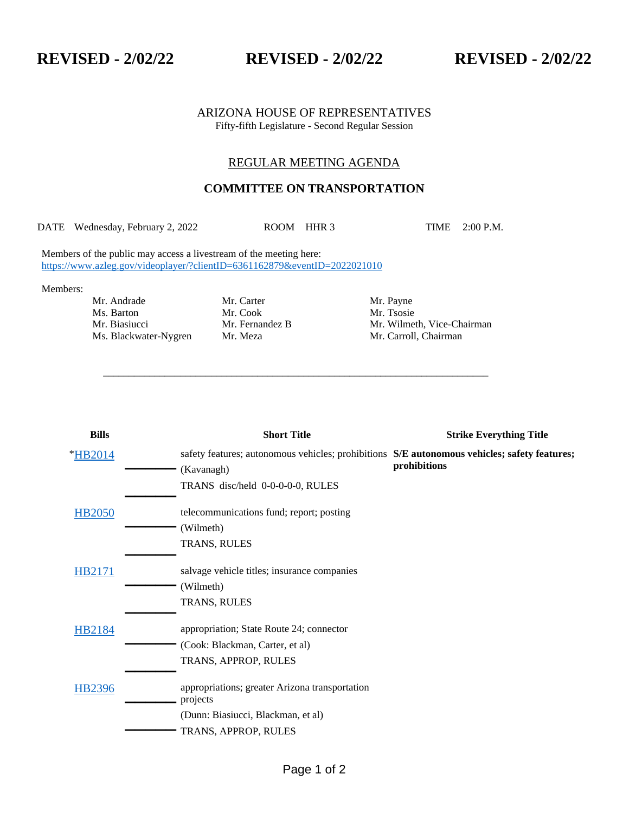**REVISED - 2/02/22 REVISED - 2/02/22 REVISED - 2/02/22**

## ARIZONA HOUSE OF REPRESENTATIVES Fifty-fifth Legislature - Second Regular Session

## REGULAR MEETING AGENDA

## **COMMITTEE ON TRANSPORTATION**

DATE Wednesday, February 2, 2022 ROOM HHR 3 TIME 2:00 P.M.

\_\_\_\_\_\_\_\_\_\_\_\_\_\_\_\_\_\_\_\_\_\_\_\_\_\_\_\_\_\_\_\_\_\_\_\_\_\_\_\_\_\_\_\_\_\_\_\_\_\_\_\_\_\_\_\_\_\_\_\_\_\_\_\_\_\_\_\_\_\_\_\_\_\_\_

Members of the public may access a livestream of the meeting here: <https://www.azleg.gov/videoplayer/?clientID=6361162879&eventID=2022021010>

Members:

Mr. Andrade Mr. Carter Mr. Payne Ms. Barton Mr. Cook Mr. Tsosie<br>
Mr. Biasiucci Mr. Fernandez B Mr. Wilme

Mr. Biasiucci Mr. Fernandez B Mr. Wilmeth, Vice-Chairman Ms. Blackwater-Nygren Mr. Meza Mr. Carroll, Chairman

| <b>Bills</b>  | <b>Short Title</b>                                                                                         | <b>Strike Everything Title</b> |
|---------------|------------------------------------------------------------------------------------------------------------|--------------------------------|
| *HB2014       | safety features; autonomous vehicles; prohibitions S/E autonomous vehicles; safety features;<br>(Kavanagh) | prohibitions                   |
|               | TRANS disc/held 0-0-0-0-0, RULES                                                                           |                                |
| <b>HB2050</b> | telecommunications fund; report; posting                                                                   |                                |
|               | (Wilmeth)                                                                                                  |                                |
|               | TRANS, RULES                                                                                               |                                |
| HB2171        | salvage vehicle titles; insurance companies                                                                |                                |
|               | (Wilmeth)                                                                                                  |                                |
|               | TRANS, RULES                                                                                               |                                |
| HB2184        | appropriation; State Route 24; connector                                                                   |                                |
|               | (Cook: Blackman, Carter, et al)                                                                            |                                |
|               | TRANS, APPROP, RULES                                                                                       |                                |
| HB2396        | appropriations; greater Arizona transportation<br>projects                                                 |                                |
|               | (Dunn: Biasiucci, Blackman, et al)                                                                         |                                |
|               | TRANS, APPROP, RULES                                                                                       |                                |